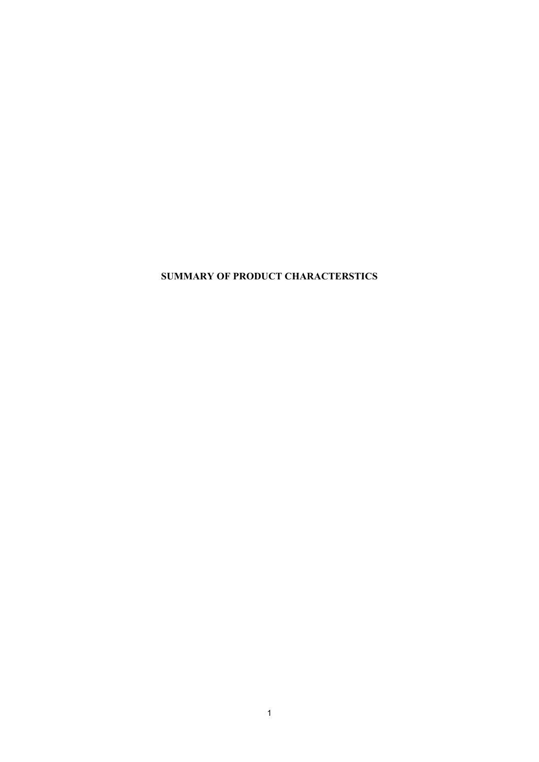**SUMMARY OF PRODUCT CHARACTERSTICS**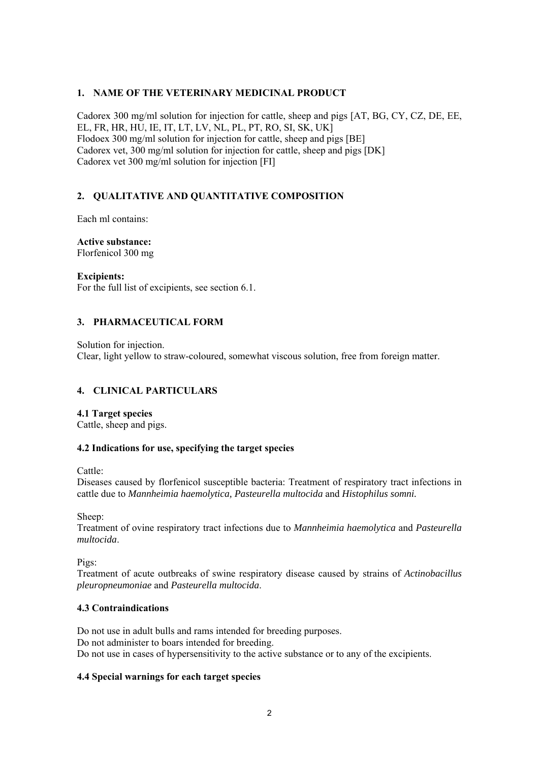### **1. NAME OF THE VETERINARY MEDICINAL PRODUCT**

Cadorex 300 mg/ml solution for injection for cattle, sheep and pigs [AT, BG, CY, CZ, DE, EE, EL, FR, HR, HU, IE, IT, LT, LV, NL, PL, PT, RO, SI, SK, UK] Flodoex 300 mg/ml solution for injection for cattle, sheep and pigs [BE] Cadorex vet, 300 mg/ml solution for injection for cattle, sheep and pigs [DK] Cadorex vet 300 mg/ml solution for injection [FI]

### **2. QUALITATIVE AND QUANTITATIVE COMPOSITION**

Each ml contains:

**Active substance:**  Florfenicol 300 mg

**Excipients:** 

For the full list of excipients, see section 6.1.

### **3. PHARMACEUTICAL FORM**

Solution for injection. Clear, light yellow to straw-coloured, somewhat viscous solution, free from foreign matter.

### **4. CLINICAL PARTICULARS**

**4.1 Target species**  Cattle, sheep and pigs.

#### **4.2 Indications for use, specifying the target species**

Cattle:

Diseases caused by florfenicol susceptible bacteria: Treatment of respiratory tract infections in cattle due to *Mannheimia haemolytica, Pasteurella multocida* and *Histophilus somni.* 

Sheep:

Treatment of ovine respiratory tract infections due to *Mannheimia haemolytica* and *Pasteurella multocida*.

Pigs:

Treatment of acute outbreaks of swine respiratory disease caused by strains of *Actinobacillus pleuropneumoniae* and *Pasteurella multocida*.

### **4.3 Contraindications**

Do not use in adult bulls and rams intended for breeding purposes. Do not administer to boars intended for breeding. Do not use in cases of hypersensitivity to the active substance or to any of the excipients.

### **4.4 Special warnings for each target species**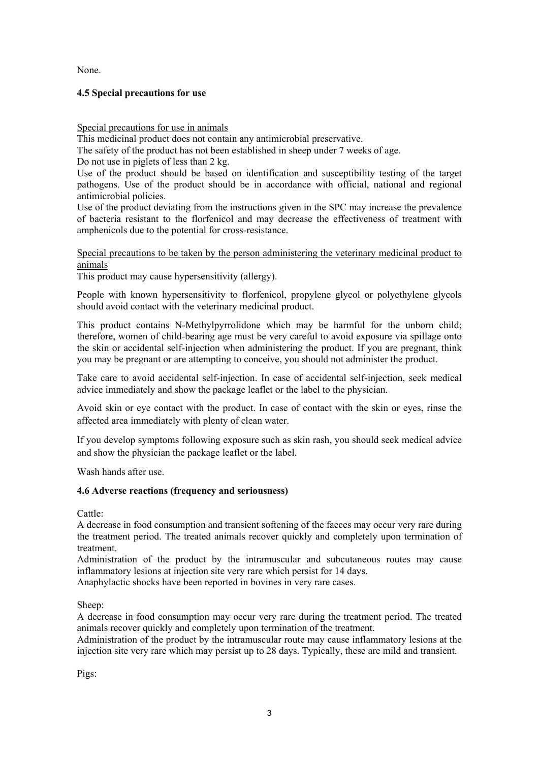None.

### **4.5 Special precautions for use**

#### Special precautions for use in animals

This medicinal product does not contain any antimicrobial preservative.

The safety of the product has not been established in sheep under 7 weeks of age.

Do not use in piglets of less than 2 kg.

Use of the product should be based on identification and susceptibility testing of the target pathogens. Use of the product should be in accordance with official, national and regional antimicrobial policies.

Use of the product deviating from the instructions given in the SPC may increase the prevalence of bacteria resistant to the florfenicol and may decrease the effectiveness of treatment with amphenicols due to the potential for cross-resistance.

#### Special precautions to be taken by the person administering the veterinary medicinal product to animals

This product may cause hypersensitivity (allergy).

People with known hypersensitivity to florfenicol, propylene glycol or polyethylene glycols should avoid contact with the veterinary medicinal product.

This product contains N-Methylpyrrolidone which may be harmful for the unborn child; therefore, women of child-bearing age must be very careful to avoid exposure via spillage onto the skin or accidental self-injection when administering the product. If you are pregnant, think you may be pregnant or are attempting to conceive, you should not administer the product.

Take care to avoid accidental self-injection. In case of accidental self-injection, seek medical advice immediately and show the package leaflet or the label to the physician.

Avoid skin or eye contact with the product. In case of contact with the skin or eyes, rinse the affected area immediately with plenty of clean water.

If you develop symptoms following exposure such as skin rash, you should seek medical advice and show the physician the package leaflet or the label.

Wash hands after use.

### **4.6 Adverse reactions (frequency and seriousness)**

Cattle:

A decrease in food consumption and transient softening of the faeces may occur very rare during the treatment period. The treated animals recover quickly and completely upon termination of treatment.

Administration of the product by the intramuscular and subcutaneous routes may cause inflammatory lesions at injection site very rare which persist for 14 days.

Anaphylactic shocks have been reported in bovines in very rare cases.

Sheep:

A decrease in food consumption may occur very rare during the treatment period. The treated animals recover quickly and completely upon termination of the treatment.

Administration of the product by the intramuscular route may cause inflammatory lesions at the injection site very rare which may persist up to 28 days. Typically, these are mild and transient.

Pigs: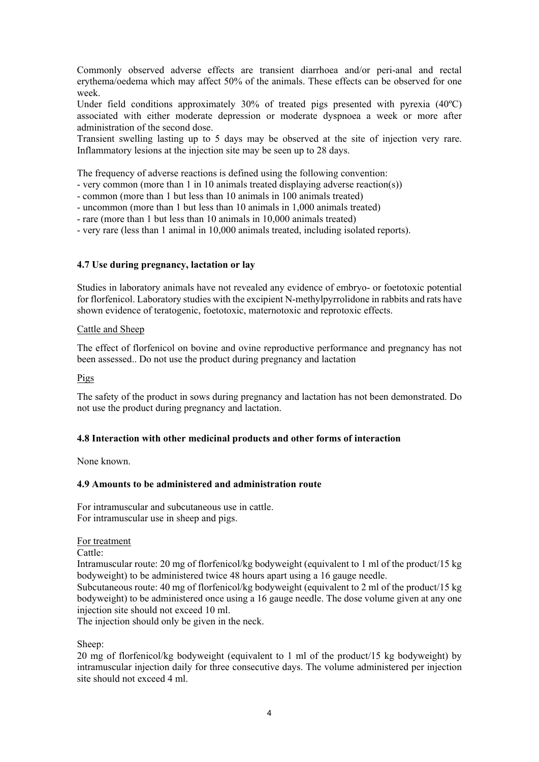Commonly observed adverse effects are transient diarrhoea and/or peri-anal and rectal erythema/oedema which may affect 50% of the animals. These effects can be observed for one week.

Under field conditions approximately  $30\%$  of treated pigs presented with pyrexia  $(40^{\circ}C)$ associated with either moderate depression or moderate dyspnoea a week or more after administration of the second dose.

Transient swelling lasting up to 5 days may be observed at the site of injection very rare. Inflammatory lesions at the injection site may be seen up to 28 days.

The frequency of adverse reactions is defined using the following convention:

- very common (more than 1 in 10 animals treated displaying adverse reaction(s))

- common (more than 1 but less than 10 animals in 100 animals treated)

- uncommon (more than 1 but less than 10 animals in 1,000 animals treated)

- rare (more than 1 but less than 10 animals in 10,000 animals treated)

- very rare (less than 1 animal in 10,000 animals treated, including isolated reports).

### **4.7 Use during pregnancy, lactation or lay**

Studies in laboratory animals have not revealed any evidence of embryo- or foetotoxic potential for florfenicol. Laboratory studies with the excipient N-methylpyrrolidone in rabbits and rats have shown evidence of teratogenic, foetotoxic, maternotoxic and reprotoxic effects.

#### Cattle and Sheep

The effect of florfenicol on bovine and ovine reproductive performance and pregnancy has not been assessed.. Do not use the product during pregnancy and lactation

Pigs

The safety of the product in sows during pregnancy and lactation has not been demonstrated. Do not use the product during pregnancy and lactation.

#### **4.8 Interaction with other medicinal products and other forms of interaction**

None known.

#### **4.9 Amounts to be administered and administration route**

For intramuscular and subcutaneous use in cattle. For intramuscular use in sheep and pigs.

For treatment

Cattle:

Intramuscular route: 20 mg of florfenicol/kg bodyweight (equivalent to 1 ml of the product/15 kg bodyweight) to be administered twice 48 hours apart using a 16 gauge needle.

Subcutaneous route: 40 mg of florfenicol/kg bodyweight (equivalent to 2 ml of the product/15 kg bodyweight) to be administered once using a 16 gauge needle. The dose volume given at any one injection site should not exceed 10 ml.

The injection should only be given in the neck.

Sheep:

20 mg of florfenicol/kg bodyweight (equivalent to 1 ml of the product/15 kg bodyweight) by intramuscular injection daily for three consecutive days. The volume administered per injection site should not exceed 4 ml.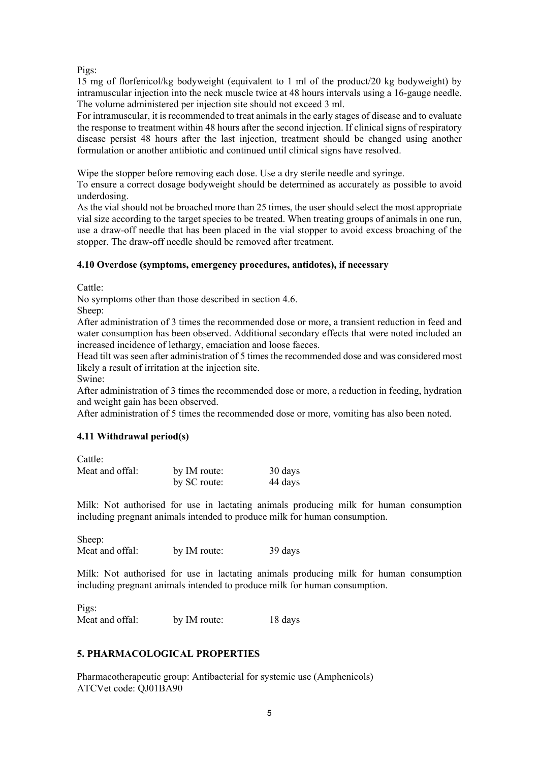Pigs:

15 mg of florfenicol/kg bodyweight (equivalent to 1 ml of the product/20 kg bodyweight) by intramuscular injection into the neck muscle twice at 48 hours intervals using a 16-gauge needle. The volume administered per injection site should not exceed 3 ml.

For intramuscular, it is recommended to treat animals in the early stages of disease and to evaluate the response to treatment within 48 hours after the second injection. If clinical signs of respiratory disease persist 48 hours after the last injection, treatment should be changed using another formulation or another antibiotic and continued until clinical signs have resolved.

Wipe the stopper before removing each dose. Use a dry sterile needle and syringe.

To ensure a correct dosage bodyweight should be determined as accurately as possible to avoid underdosing.

As the vial should not be broached more than 25 times, the user should select the most appropriate vial size according to the target species to be treated. When treating groups of animals in one run, use a draw-off needle that has been placed in the vial stopper to avoid excess broaching of the stopper. The draw-off needle should be removed after treatment.

### **4.10 Overdose (symptoms, emergency procedures, antidotes), if necessary**

Cattle:

No symptoms other than those described in section 4.6.

Sheep:

After administration of 3 times the recommended dose or more, a transient reduction in feed and water consumption has been observed. Additional secondary effects that were noted included an increased incidence of lethargy, emaciation and loose faeces.

Head tilt was seen after administration of 5 times the recommended dose and was considered most likely a result of irritation at the injection site.

Swine:

After administration of 3 times the recommended dose or more, a reduction in feeding, hydration and weight gain has been observed.

After administration of 5 times the recommended dose or more, vomiting has also been noted.

### **4.11 Withdrawal period(s)**

Cattle:

| Meat and offal: | by IM route: | 30 days |
|-----------------|--------------|---------|
|                 | by SC route: | 44 days |

Milk: Not authorised for use in lactating animals producing milk for human consumption including pregnant animals intended to produce milk for human consumption.

Sheep: Meat and offal: by IM route: 39 days

Milk: Not authorised for use in lactating animals producing milk for human consumption including pregnant animals intended to produce milk for human consumption.

Pigs: Meat and offal: by IM route: 18 days

### **5. PHARMACOLOGICAL PROPERTIES**

Pharmacotherapeutic group: Antibacterial for systemic use (Amphenicols) ATCVet code: QJ01BA90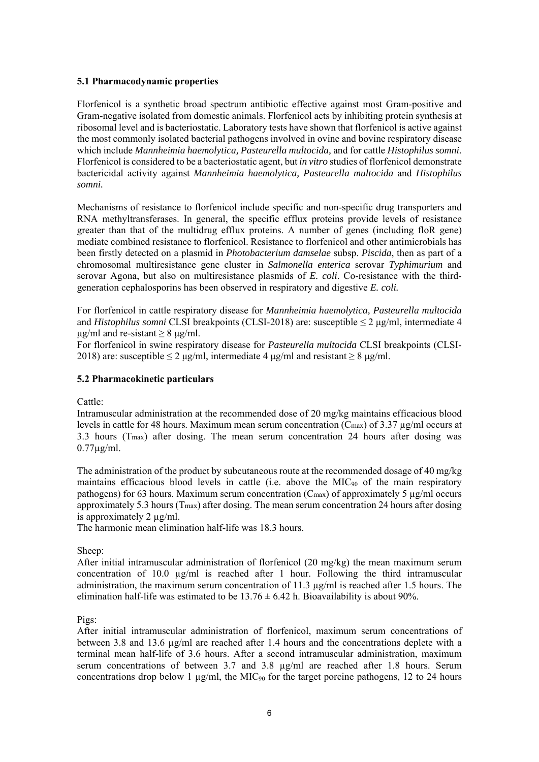#### **5.1 Pharmacodynamic properties**

Florfenicol is a synthetic broad spectrum antibiotic effective against most Gram-positive and Gram-negative isolated from domestic animals. Florfenicol acts by inhibiting protein synthesis at ribosomal level and is bacteriostatic. Laboratory tests have shown that florfenicol is active against the most commonly isolated bacterial pathogens involved in ovine and bovine respiratory disease which include *Mannheimia haemolytica, Pasteurella multocida,* and for cattle *Histophilus somni.*  Florfenicol is considered to be a bacteriostatic agent, but *in vitro* studies of florfenicol demonstrate bactericidal activity against *Mannheimia haemolytica, Pasteurella multocida* and *Histophilus somni.* 

Mechanisms of resistance to florfenicol include specific and non-specific drug transporters and RNA methyltransferases. In general, the specific efflux proteins provide levels of resistance greater than that of the multidrug efflux proteins. A number of genes (including floR gene) mediate combined resistance to florfenicol. Resistance to florfenicol and other antimicrobials has been firstly detected on a plasmid in *Photobacterium damselae* subsp. *Piscida*, then as part of a chromosomal multiresistance gene cluster in *Salmonella enterica* serovar *Typhimurium* and serovar Agona, but also on multiresistance plasmids of *E. coli*. Co-resistance with the thirdgeneration cephalosporins has been observed in respiratory and digestive *E. coli.* 

For florfenicol in cattle respiratory disease for *Mannheimia haemolytica, Pasteurella multocida* and *Histophilus somni* CLSI breakpoints (CLSI-2018) are: susceptible ≤ 2 μg/ml, intermediate 4  $\mu$ g/ml and re-sistant > 8  $\mu$ g/ml.

For florfenicol in swine respiratory disease for *Pasteurella multocida* CLSI breakpoints (CLSI-2018) are: susceptible  $\leq 2 \mu g/ml$ , intermediate 4  $\mu g/ml$  and resistant  $\geq 8 \mu g/ml$ .

#### **5.2 Pharmacokinetic particulars**

Cattle:

Intramuscular administration at the recommended dose of 20 mg/kg maintains efficacious blood levels in cattle for 48 hours. Maximum mean serum concentration (Cmax) of 3.37 µg/ml occurs at 3.3 hours (Tmax) after dosing. The mean serum concentration 24 hours after dosing was  $0.77\mu$ g/ml.

The administration of the product by subcutaneous route at the recommended dosage of 40 mg/kg maintains efficacious blood levels in cattle (i.e. above the MIC $_{90}$  of the main respiratory pathogens) for 63 hours. Maximum serum concentration (C<sub>max</sub>) of approximately 5  $\mu$ g/ml occurs approximately 5.3 hours ( $T_{\text{max}}$ ) after dosing. The mean serum concentration 24 hours after dosing is approximately 2 µg/ml.

The harmonic mean elimination half-life was 18.3 hours.

Sheep:

After initial intramuscular administration of florfenicol (20 mg/kg) the mean maximum serum concentration of 10.0 µg/ml is reached after 1 hour. Following the third intramuscular administration, the maximum serum concentration of 11.3 µg/ml is reached after 1.5 hours. The elimination half-life was estimated to be  $13.76 \pm 6.42$  h. Bioavailability is about 90%.

#### Pigs:

After initial intramuscular administration of florfenicol, maximum serum concentrations of between 3.8 and 13.6  $\mu$ g/ml are reached after 1.4 hours and the concentrations deplete with a terminal mean half-life of 3.6 hours. After a second intramuscular administration, maximum serum concentrations of between 3.7 and 3.8 µg/ml are reached after 1.8 hours. Serum concentrations drop below 1  $\mu$ g/ml, the MIC<sub>90</sub> for the target porcine pathogens, 12 to 24 hours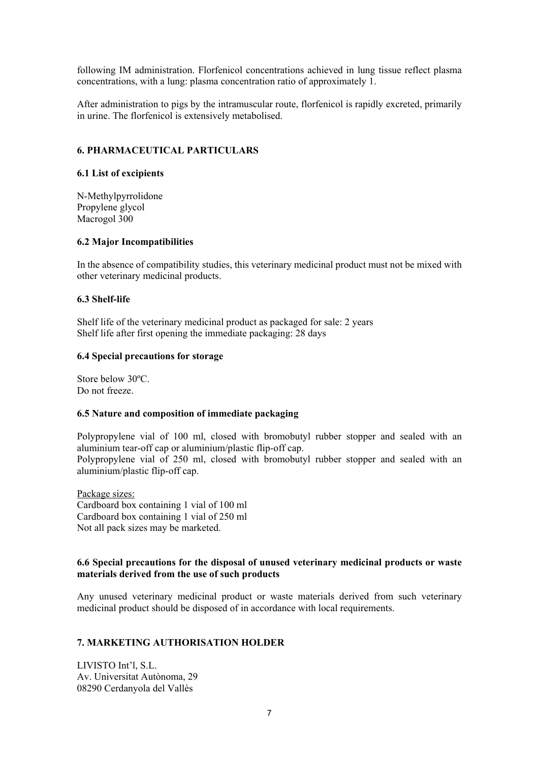following IM administration. Florfenicol concentrations achieved in lung tissue reflect plasma concentrations, with a lung: plasma concentration ratio of approximately 1.

After administration to pigs by the intramuscular route, florfenicol is rapidly excreted, primarily in urine. The florfenicol is extensively metabolised.

### **6. PHARMACEUTICAL PARTICULARS**

#### **6.1 List of excipients**

N-Methylpyrrolidone Propylene glycol Macrogol 300

#### **6.2 Major Incompatibilities**

In the absence of compatibility studies, this veterinary medicinal product must not be mixed with other veterinary medicinal products.

#### **6.3 Shelf-life**

Shelf life of the veterinary medicinal product as packaged for sale: 2 years Shelf life after first opening the immediate packaging: 28 days

#### **6.4 Special precautions for storage**

Store below 30ºC. Do not freeze.

#### **6.5 Nature and composition of immediate packaging**

Polypropylene vial of 100 ml, closed with bromobutyl rubber stopper and sealed with an aluminium tear-off cap or aluminium/plastic flip-off cap. Polypropylene vial of 250 ml, closed with bromobutyl rubber stopper and sealed with an aluminium/plastic flip-off cap.

Package sizes: Cardboard box containing 1 vial of 100 ml Cardboard box containing 1 vial of 250 ml Not all pack sizes may be marketed.

#### **6.6 Special precautions for the disposal of unused veterinary medicinal products or waste materials derived from the use of such products**

Any unused veterinary medicinal product or waste materials derived from such veterinary medicinal product should be disposed of in accordance with local requirements.

#### **7. MARKETING AUTHORISATION HOLDER**

LIVISTO Int'l, S.L. Av. Universitat Autònoma, 29 08290 Cerdanyola del Vallès